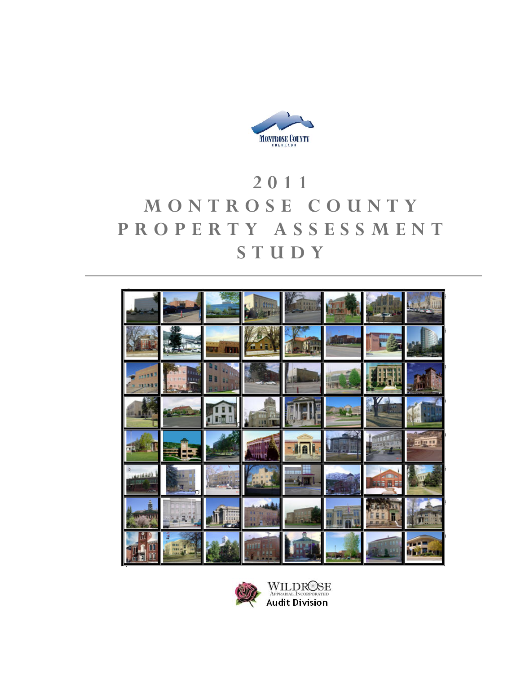

# **2011 MONTROSE COUNTY PROPERTY ASSESSMENT STUDY**





WILDROSE<br>APPRAISAL INCORPORATED<br>Audit Division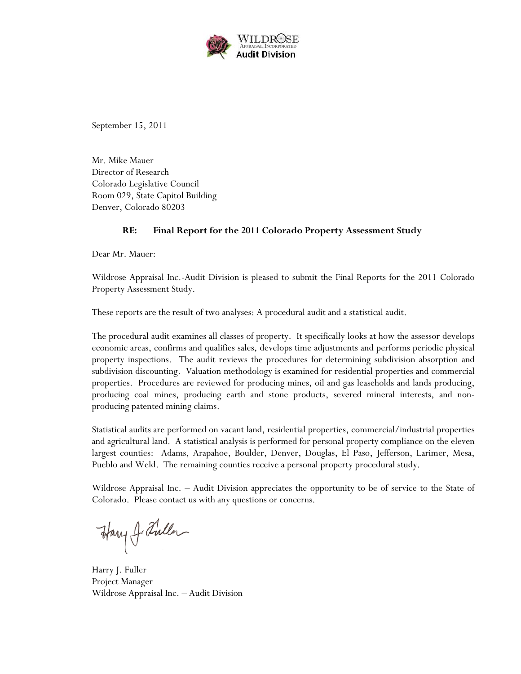

September 15, 2011

Mr. Mike Mauer Director of Research Colorado Legislative Council Room 029, State Capitol Building Denver, Colorado 80203

## **RE: Final Report for the 2011 Colorado Property Assessment Study**

Dear Mr. Mauer:

Wildrose Appraisal Inc.-Audit Division is pleased to submit the Final Reports for the 2011 Colorado Property Assessment Study.

These reports are the result of two analyses: A procedural audit and a statistical audit.

The procedural audit examines all classes of property. It specifically looks at how the assessor develops economic areas, confirms and qualifies sales, develops time adjustments and performs periodic physical property inspections. The audit reviews the procedures for determining subdivision absorption and subdivision discounting. Valuation methodology is examined for residential properties and commercial properties. Procedures are reviewed for producing mines, oil and gas leaseholds and lands producing, producing coal mines, producing earth and stone products, severed mineral interests, and nonproducing patented mining claims.

Statistical audits are performed on vacant land, residential properties, commercial/industrial properties and agricultural land. A statistical analysis is performed for personal property compliance on the eleven largest counties: Adams, Arapahoe, Boulder, Denver, Douglas, El Paso, Jefferson, Larimer, Mesa, Pueblo and Weld. The remaining counties receive a personal property procedural study.

Wildrose Appraisal Inc. – Audit Division appreciates the opportunity to be of service to the State of Colorado. Please contact us with any questions or concerns.

Harry J. Fuller

Harry J. Fuller Project Manager Wildrose Appraisal Inc. – Audit Division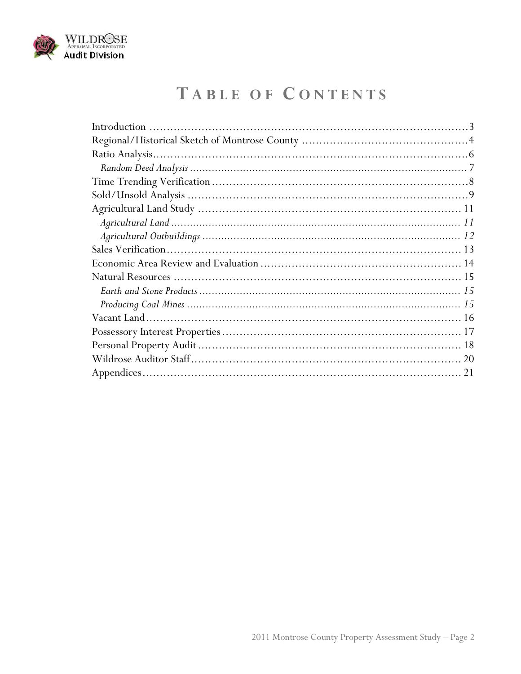

# TABLE OF CONTENTS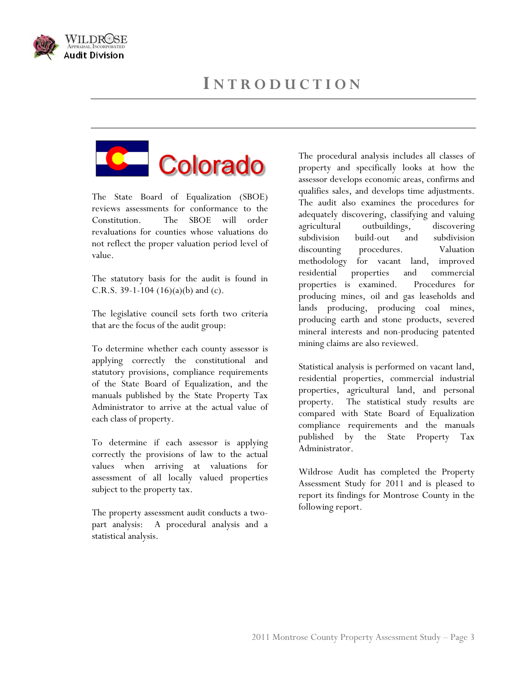





The State Board of Equalization (SBOE) reviews assessments for conformance to the Constitution. The SBOE will order revaluations for counties whose valuations do not reflect the proper valuation period level of value.

The statutory basis for the audit is found in C.R.S. 39-1-104  $(16)(a)(b)$  and  $(c)$ .

The legislative council sets forth two criteria that are the focus of the audit group:

To determine whether each county assessor is applying correctly the constitutional and statutory provisions, compliance requirements of the State Board of Equalization, and the manuals published by the State Property Tax Administrator to arrive at the actual value of each class of property.

To determine if each assessor is applying correctly the provisions of law to the actual values when arriving at valuations for assessment of all locally valued properties subject to the property tax.

The property assessment audit conducts a twopart analysis: A procedural analysis and a statistical analysis.

The procedural analysis includes all classes of property and specifically looks at how the assessor develops economic areas, confirms and qualifies sales, and develops time adjustments. The audit also examines the procedures for adequately discovering, classifying and valuing agricultural outbuildings, discovering subdivision build-out and subdivision discounting procedures. Valuation methodology for vacant land, improved residential properties and commercial properties is examined. Procedures for producing mines, oil and gas leaseholds and lands producing, producing coal mines, producing earth and stone products, severed mineral interests and non-producing patented mining claims are also reviewed.

Statistical analysis is performed on vacant land, residential properties, commercial industrial properties, agricultural land, and personal property. The statistical study results are compared with State Board of Equalization compliance requirements and the manuals published by the State Property Tax Administrator.

Wildrose Audit has completed the Property Assessment Study for 2011 and is pleased to report its findings for Montrose County in the following report.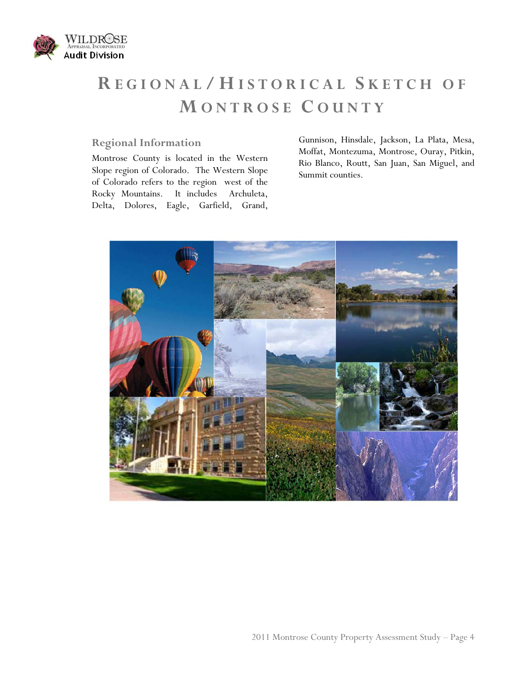

# **R EGIONAL / H ISTORICAL S KETCH OF M ONTROSE C OUNTY**

## **Regional Information**

Montrose County is located in the Western Slope region of Colorado. The Western Slope of Colorado refers to the region west of the Rocky Mountains. It includes Archuleta, Delta, Dolores, Eagle, Garfield, Grand, Gunnison, Hinsdale, Jackson, La Plata, Mesa, Moffat, Montezuma, Montrose, Ouray, Pitkin, Rio Blanco, Routt, San Juan, San Miguel, and Summit counties.

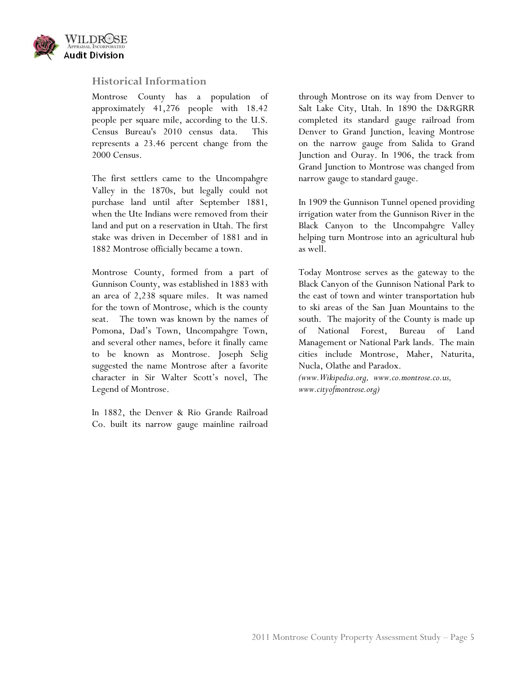

### **Historical Information**

Montrose County has a population of approximately 41,276 people with 18.42 people per square mile, according to the U.S. Census Bureau's 2010 census data. This represents a 23.46 percent change from the 2000 Census.

The first settlers came to the Uncompahgre Valley in the 1870s, but legally could not purchase land until after September 1881, when the Ute Indians were removed from their land and put on a reservation in Utah. The first stake was driven in December of 1881 and in 1882 Montrose officially became a town.

Montrose County, formed from a part of Gunnison County, was established in 1883 with an area of 2,238 square miles. It was named for the town of Montrose, which is the county seat. The town was known by the names of Pomona, Dad's Town, Uncompahgre Town, and several other names, before it finally came to be known as Montrose. Joseph Selig suggested the name Montrose after a favorite character in Sir Walter Scott's novel, The Legend of Montrose.

In 1882, the Denver & Rio Grande Railroad Co. built its narrow gauge mainline railroad through Montrose on its way from Denver to Salt Lake City, Utah. In 1890 the D&RGRR completed its standard gauge railroad from Denver to Grand Junction, leaving Montrose on the narrow gauge from Salida to Grand Junction and Ouray. In 1906, the track from Grand Junction to Montrose was changed from narrow gauge to standard gauge.

In 1909 the Gunnison Tunnel opened providing irrigation water from the Gunnison River in the Black Canyon to the Uncompahgre Valley helping turn Montrose into an agricultural hub as well.

Today Montrose serves as the gateway to the Black Canyon of the Gunnison National Park to the east of town and winter transportation hub to ski areas of the San Juan Mountains to the south. The majority of the County is made up of National Forest, Bureau of Land Management or National Park lands. The main cities include Montrose, Maher, Naturita, Nucla, Olathe and Paradox.

*(www.Wikipedia.org, www.co.montrose.co.us, www.cityofmontrose.org)*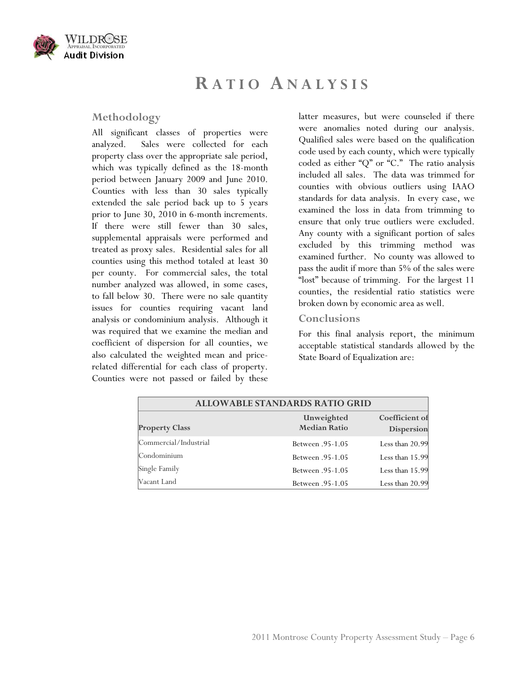

## **R ATIO ANALYSIS**

### **Methodology**

All significant classes of properties were analyzed. Sales were collected for each property class over the appropriate sale period, which was typically defined as the 18-month period between January 2009 and June 2010. Counties with less than 30 sales typically extended the sale period back up to 5 years prior to June 30, 2010 in 6-month increments. If there were still fewer than 30 sales, supplemental appraisals were performed and treated as proxy sales. Residential sales for all counties using this method totaled at least 30 per county. For commercial sales, the total number analyzed was allowed, in some cases, to fall below 30. There were no sale quantity issues for counties requiring vacant land analysis or condominium analysis. Although it was required that we examine the median and coefficient of dispersion for all counties, we also calculated the weighted mean and pricerelated differential for each class of property. Counties were not passed or failed by these

latter measures, but were counseled if there were anomalies noted during our analysis. Qualified sales were based on the qualification code used by each county, which were typically coded as either "Q" or "C." The ratio analysis included all sales. The data was trimmed for counties with obvious outliers using IAAO standards for data analysis. In every case, we examined the loss in data from trimming to ensure that only true outliers were excluded. Any county with a significant portion of sales excluded by this trimming method was examined further. No county was allowed to pass the audit if more than 5% of the sales were "lost" because of trimming. For the largest 11 counties, the residential ratio statistics were broken down by economic area as well.

#### **Conclusions**

For this final analysis report, the minimum acceptable statistical standards allowed by the State Board of Equalization are:

| <b>ALLOWABLE STANDARDS RATIO GRID</b> |                                   |                              |  |
|---------------------------------------|-----------------------------------|------------------------------|--|
| <b>Property Class</b>                 | Unweighted<br><b>Median Ratio</b> | Coefficient of<br>Dispersion |  |
| Commercial/Industrial                 | <b>Between</b> .95-1.05           | Less than 20.99              |  |
| Condominium                           | <b>Between</b> .95-1.05           | Less than 15.99              |  |
| Single Family                         | <b>Between</b> .95-1.05           | Less than 15.99              |  |
| Vacant Land                           | <b>Between</b> .95-1.05           | Less than 20.99              |  |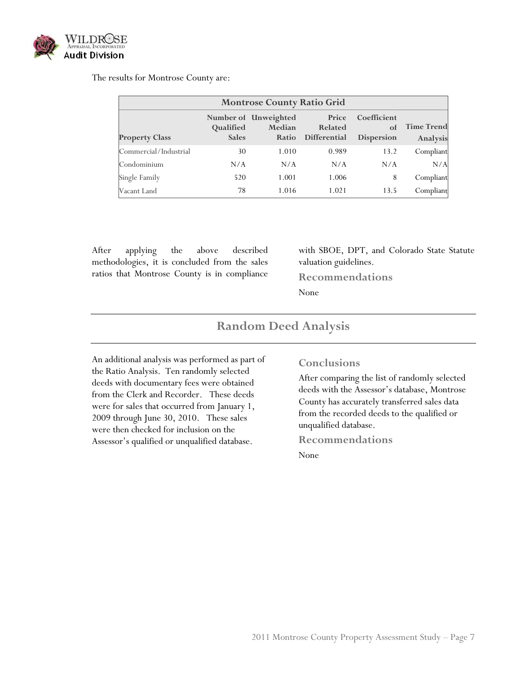

#### The results for Montrose County are:

| <b>Montrose County Ratio Grid</b> |                           |                                         |                                  |                                        |                               |
|-----------------------------------|---------------------------|-----------------------------------------|----------------------------------|----------------------------------------|-------------------------------|
| <b>Property Class</b>             | Qualified<br><b>Sales</b> | Number of Unweighted<br>Median<br>Ratio | Price<br>Related<br>Differential | Coefficient<br>of<br><b>Dispersion</b> | <b>Time Trend</b><br>Analysis |
| Commercial/Industrial             | 30                        | 1.010                                   | 0.989                            | 13.2                                   | Compliant                     |
| Condominium                       | N/A                       | N/A                                     | N/A                              | N/A                                    | N/A                           |
| Single Family                     | 520                       | 1.001                                   | 1.006                            | 8                                      | Compliant                     |
| Vacant Land                       | 78                        | 1.016                                   | 1.021                            | 13.5                                   | Compliant                     |

After applying the above described methodologies, it is concluded from the sales ratios that Montrose County is in compliance

with SBOE, DPT, and Colorado State Statute valuation guidelines.

**Recommendations** 

None

## **Random Deed Analysis**

An additional analysis was performed as part of the Ratio Analysis. Ten randomly selected deeds with documentary fees were obtained from the Clerk and Recorder. These deeds were for sales that occurred from January 1, 2009 through June 30, 2010. These sales were then checked for inclusion on the Assessor's qualified or unqualified database.

#### **Conclusions**

After comparing the list of randomly selected deeds with the Assessor's database, Montrose County has accurately transferred sales data from the recorded deeds to the qualified or unqualified database.

#### **Recommendations**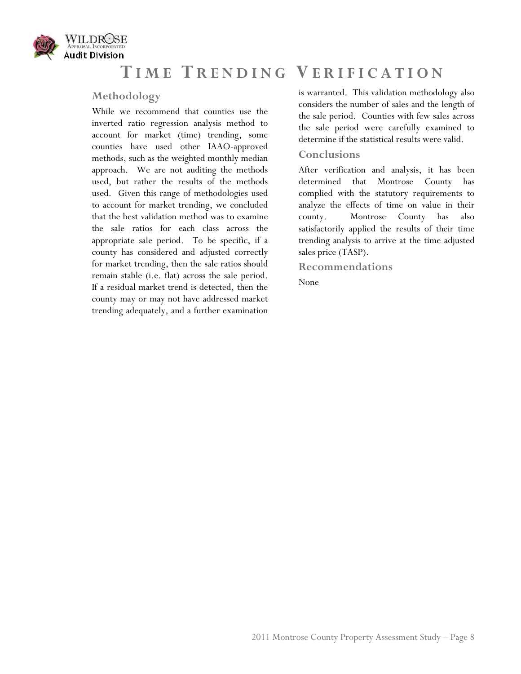

## **T IME T RENDING V ERIFICATION**

## **Methodology**

While we recommend that counties use the inverted ratio regression analysis method to account for market (time) trending, some counties have used other IAAO-approved methods, such as the weighted monthly median approach. We are not auditing the methods used, but rather the results of the methods used. Given this range of methodologies used to account for market trending, we concluded that the best validation method was to examine the sale ratios for each class across the appropriate sale period. To be specific, if a county has considered and adjusted correctly for market trending, then the sale ratios should remain stable (i.e. flat) across the sale period. If a residual market trend is detected, then the county may or may not have addressed market trending adequately, and a further examination

is warranted. This validation methodology also considers the number of sales and the length of the sale period. Counties with few sales across the sale period were carefully examined to determine if the statistical results were valid.

### **Conclusions**

After verification and analysis, it has been determined that Montrose County has complied with the statutory requirements to analyze the effects of time on value in their county. Montrose County has also satisfactorily applied the results of their time trending analysis to arrive at the time adjusted sales price (TASP).

**Recommendations**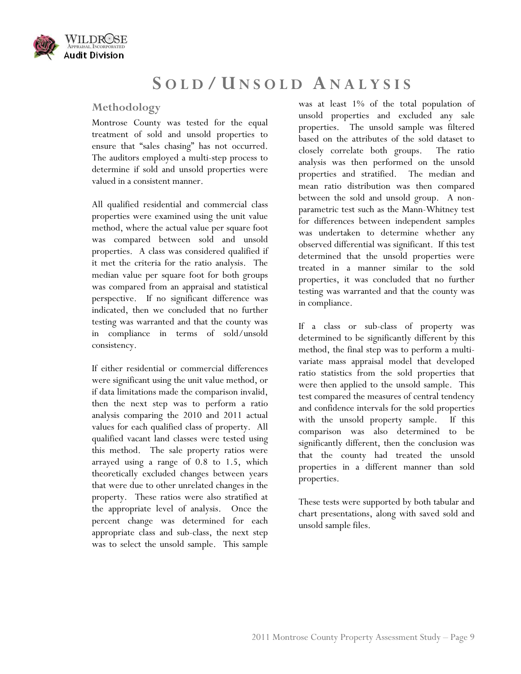

## **S OLD / U NSOLD ANALYSIS**

## **Methodology**

Montrose County was tested for the equal treatment of sold and unsold properties to ensure that "sales chasing" has not occurred. The auditors employed a multi-step process to determine if sold and unsold properties were valued in a consistent manner.

All qualified residential and commercial class properties were examined using the unit value method, where the actual value per square foot was compared between sold and unsold properties. A class was considered qualified if it met the criteria for the ratio analysis. The median value per square foot for both groups was compared from an appraisal and statistical perspective. If no significant difference was indicated, then we concluded that no further testing was warranted and that the county was in compliance in terms of sold/unsold consistency.

If either residential or commercial differences were significant using the unit value method, or if data limitations made the comparison invalid, then the next step was to perform a ratio analysis comparing the 2010 and 2011 actual values for each qualified class of property. All qualified vacant land classes were tested using this method. The sale property ratios were arrayed using a range of 0.8 to 1.5, which theoretically excluded changes between years that were due to other unrelated changes in the property. These ratios were also stratified at the appropriate level of analysis. Once the percent change was determined for each appropriate class and sub-class, the next step was to select the unsold sample. This sample

was at least 1% of the total population of unsold properties and excluded any sale properties. The unsold sample was filtered based on the attributes of the sold dataset to closely correlate both groups. The ratio analysis was then performed on the unsold properties and stratified. The median and mean ratio distribution was then compared between the sold and unsold group. A nonparametric test such as the Mann-Whitney test for differences between independent samples was undertaken to determine whether any observed differential was significant. If this test determined that the unsold properties were treated in a manner similar to the sold properties, it was concluded that no further testing was warranted and that the county was in compliance.

If a class or sub-class of property was determined to be significantly different by this method, the final step was to perform a multivariate mass appraisal model that developed ratio statistics from the sold properties that were then applied to the unsold sample. This test compared the measures of central tendency and confidence intervals for the sold properties with the unsold property sample. If this comparison was also determined to be significantly different, then the conclusion was that the county had treated the unsold properties in a different manner than sold properties.

These tests were supported by both tabular and chart presentations, along with saved sold and unsold sample files.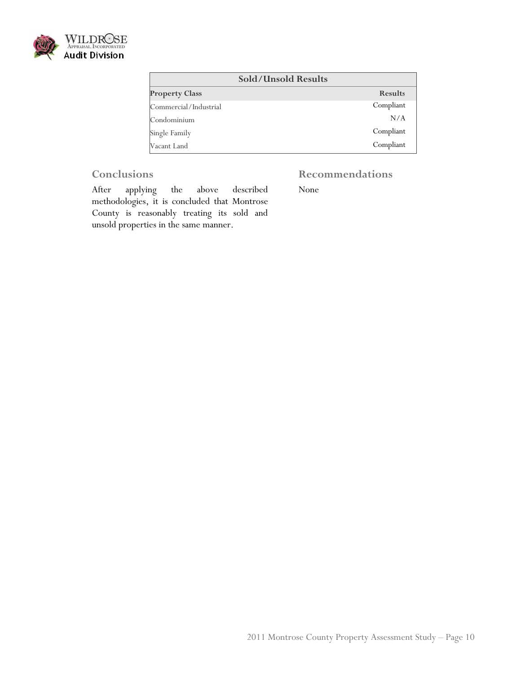

| <b>Sold/Unsold Results</b> |                |
|----------------------------|----------------|
| <b>Property Class</b>      | <b>Results</b> |
| Commercial/Industrial      | Compliant      |
| Condominium                | N/A            |
| Single Family              | Compliant      |
| Vacant Land                | Compliant      |

## **Conclusions**

## **Recommendations**

After applying the above described methodologies, it is concluded that Montrose County is reasonably treating its sold and unsold properties in the same manner.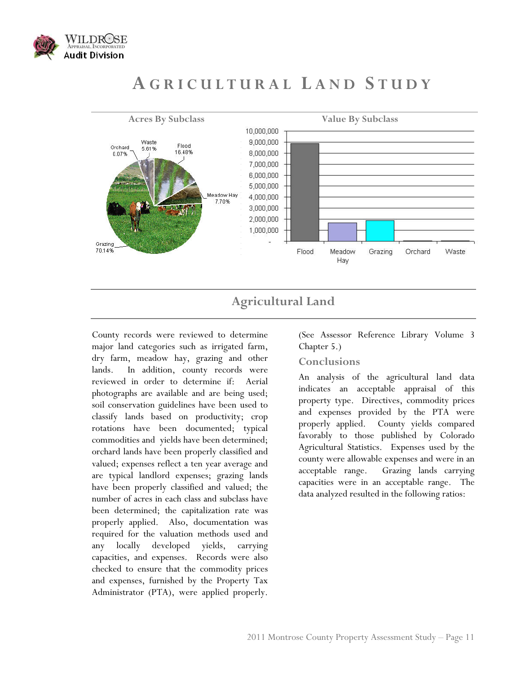

## **A GRICULTURAL L AND S TUDY**



## **Agricultural Land**

County records were reviewed to determine major land categories such as irrigated farm, dry farm, meadow hay, grazing and other lands. In addition, county records were reviewed in order to determine if: Aerial photographs are available and are being used; soil conservation guidelines have been used to classify lands based on productivity; crop rotations have been documented; typical commodities and yields have been determined; orchard lands have been properly classified and valued; expenses reflect a ten year average and are typical landlord expenses; grazing lands have been properly classified and valued; the number of acres in each class and subclass have been determined; the capitalization rate was properly applied. Also, documentation was required for the valuation methods used and any locally developed yields, carrying capacities, and expenses. Records were also checked to ensure that the commodity prices and expenses, furnished by the Property Tax Administrator (PTA), were applied properly.

(See Assessor Reference Library Volume 3 Chapter 5.)

## **Conclusions**

An analysis of the agricultural land data indicates an acceptable appraisal of this property type. Directives, commodity prices and expenses provided by the PTA were properly applied. County yields compared favorably to those published by Colorado Agricultural Statistics. Expenses used by the county were allowable expenses and were in an acceptable range. Grazing lands carrying capacities were in an acceptable range. The data analyzed resulted in the following ratios: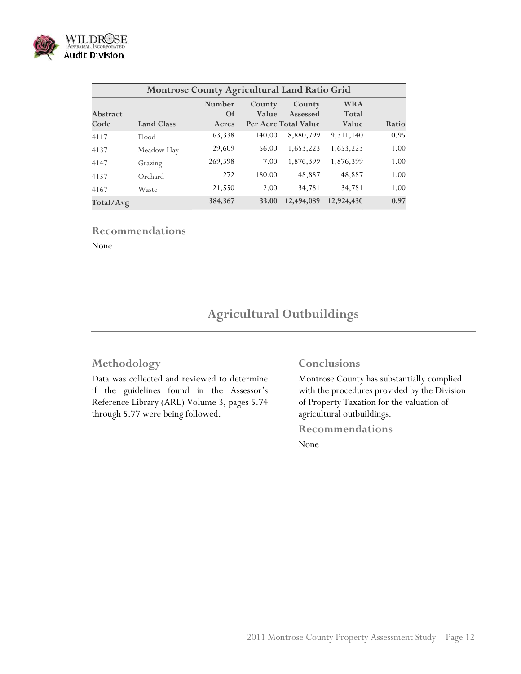

|                         | Montrose County Agricultural Land Ratio Grid |                                     |                 |                                            |                              |       |
|-------------------------|----------------------------------------------|-------------------------------------|-----------------|--------------------------------------------|------------------------------|-------|
| <b>Abstract</b><br>Code | <b>Land Class</b>                            | <b>Number</b><br><b>Of</b><br>Acres | County<br>Value | County<br>Assessed<br>Per Acre Total Value | <b>WRA</b><br>Total<br>Value | Ratio |
| 4117                    | Flood                                        | 63,338                              | 140.00          | 8,880,799                                  | 9,311,140                    | 0.95  |
| 4137                    | Meadow Hay                                   | 29,609                              | 56.00           | 1,653,223                                  | 1,653,223                    | 1.00  |
| 4147                    | Grazing                                      | 269,598                             | 7.00            | 1,876,399                                  | 1,876,399                    | 1.00  |
| 4157                    | Orchard                                      | 272                                 | 180.00          | 48,887                                     | 48,887                       | 1.00  |
| 4167                    | Waste                                        | 21,550                              | 2.00            | 34,781                                     | 34,781                       | 1.00  |
| Total/Avg               |                                              | 384,367                             | 33.00           | 12,494,089                                 | 12,924,430                   | 0.97  |

#### **Recommendations**

None

## **Agricultural Outbuildings**

### **Methodology**

Data was collected and reviewed to determine if the guidelines found in the Assessor's Reference Library (ARL) Volume 3, pages 5.74 through 5.77 were being followed.

#### **Conclusions**

Montrose County has substantially complied with the procedures provided by the Division of Property Taxation for the valuation of agricultural outbuildings.

**Recommendations**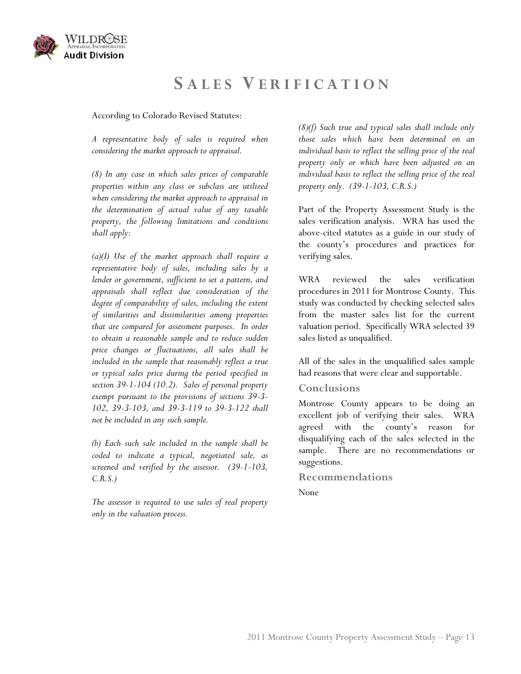

## **S ALES V ERIFICATION**

According to Colorado Revised Statutes:

*A representative body of sales is required when considering the market approach to appraisal.* 

*(8) In any case in which sales prices of comparable properties within any class or subclass are utilized when considering the market approach to appraisal in the determination of actual value of any taxable property, the following limitations and conditions shall apply:* 

*(a)(I) Use of the market approach shall require a representative body of sales, including sales by a lender or government, sufficient to set a pattern, and appraisals shall reflect due consideration of the degree of comparability of sales, including the extent of similarities and dissimilarities among properties that are compared for assessment purposes. In order to obtain a reasonable sample and to reduce sudden price changes or fluctuations, all sales shall be included in the sample that reasonably reflect a true or typical sales price during the period specified in section 39-1-104 (10.2). Sales of personal property exempt pursuant to the provisions of sections 39-3- 102, 39-3-103, and 39-3-119 to 39-3-122 shall not be included in any such sample.* 

*(b) Each such sale included in the sample shall be coded to indicate a typical, negotiated sale, as screened and verified by the assessor. (39-1-103, C.R.S.)* 

*The assessor is required to use sales of real property only in the valuation process.* 

*(8)(f) Such true and typical sales shall include only those sales which have been determined on an individual basis to reflect the selling price of the real property only or which have been adjusted on an individual basis to reflect the selling price of the real property only. (39-1-103, C.R.S.)* 

Part of the Property Assessment Study is the sales verification analysis. WRA has used the above-cited statutes as a guide in our study of the county's procedures and practices for verifying sales.

WRA reviewed the sales verification procedures in 2011 for Montrose County. This study was conducted by checking selected sales from the master sales list for the current valuation period. Specifically WRA selected 39 sales listed as unqualified.

All of the sales in the unqualified sales sample had reasons that were clear and supportable.

## **Conclusions**

Montrose County appears to be doing an excellent job of verifying their sales. WRA agreed with the county's reason for disqualifying each of the sales selected in the sample. There are no recommendations or suggestions.

#### **Recommendations**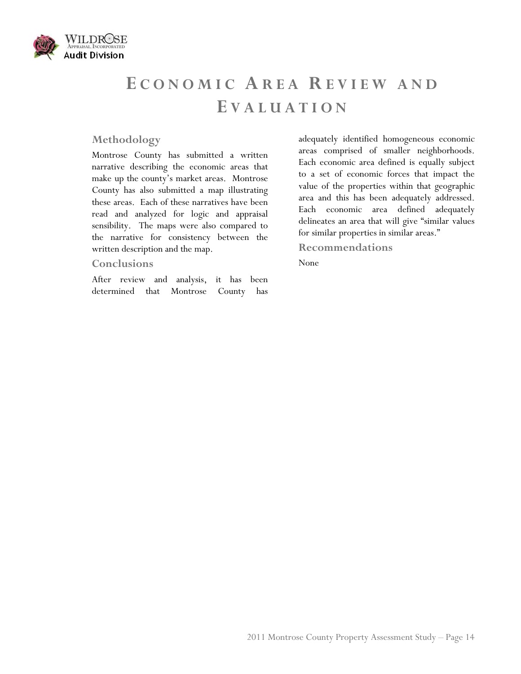

# **E CONOMIC AREA R EVIEW AND E VALUATION**

## **Methodology**

Montrose County has submitted a written narrative describing the economic areas that make up the county's market areas. Montrose County has also submitted a map illustrating these areas. Each of these narratives have been read and analyzed for logic and appraisal sensibility. The maps were also compared to the narrative for consistency between the written description and the map.

#### **Conclusions**

After review and analysis, it has been determined that Montrose County has adequately identified homogeneous economic areas comprised of smaller neighborhoods. Each economic area defined is equally subject to a set of economic forces that impact the value of the properties within that geographic area and this has been adequately addressed. Each economic area defined adequately delineates an area that will give "similar values for similar properties in similar areas."

## **Recommendations**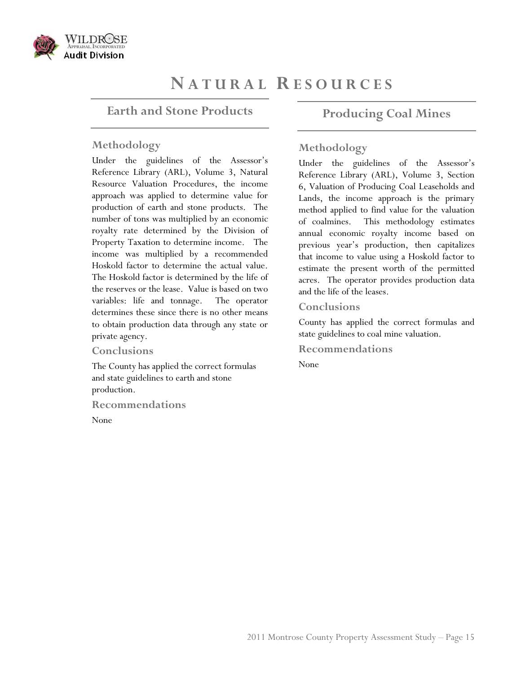

## **N ATURAL R ESOURCES**

## **Earth and Stone Products**

### **Methodology**

Under the guidelines of the Assessor's Reference Library (ARL), Volume 3, Natural Resource Valuation Procedures, the income approach was applied to determine value for production of earth and stone products. The number of tons was multiplied by an economic royalty rate determined by the Division of Property Taxation to determine income. The income was multiplied by a recommended Hoskold factor to determine the actual value. The Hoskold factor is determined by the life of the reserves or the lease. Value is based on two variables: life and tonnage. The operator determines these since there is no other means to obtain production data through any state or private agency.

#### **Conclusions**

The County has applied the correct formulas and state guidelines to earth and stone production.

**Recommendations** 

None

## **Producing Coal Mines**

## **Methodology**

Under the guidelines of the Assessor's Reference Library (ARL), Volume 3, Section 6, Valuation of Producing Coal Leaseholds and Lands, the income approach is the primary method applied to find value for the valuation of coalmines. This methodology estimates annual economic royalty income based on previous year's production, then capitalizes that income to value using a Hoskold factor to estimate the present worth of the permitted acres. The operator provides production data and the life of the leases.

#### **Conclusions**

County has applied the correct formulas and state guidelines to coal mine valuation.

**Recommendations**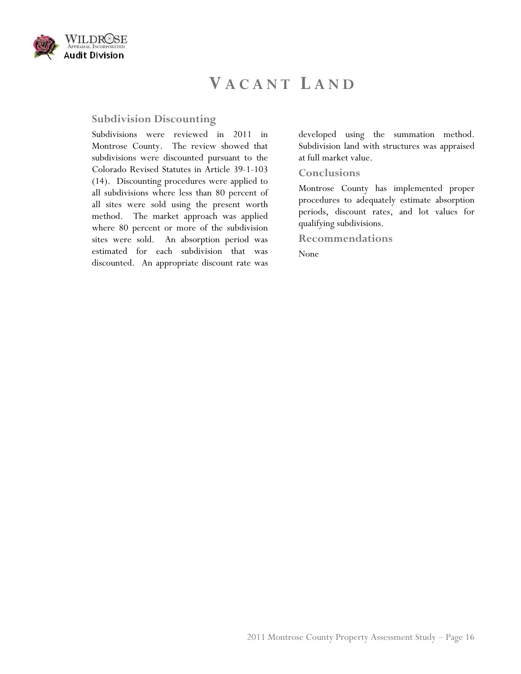

## **V ACANT L AND**

#### **Subdivision Discounting**

Subdivisions were reviewed in 2011 in Montrose County. The review showed that subdivisions were discounted pursuant to the Colorado Revised Statutes in Article 39-1-103 (14). Discounting procedures were applied to all subdivisions where less than 80 percent of all sites were sold using the present worth method. The market approach was applied where 80 percent or more of the subdivision sites were sold. An absorption period was estimated for each subdivision that was discounted. An appropriate discount rate was developed using the summation method. Subdivision land with structures was appraised at full market value.

#### **Conclusions**

Montrose County has implemented proper procedures to adequately estimate absorption periods, discount rates, and lot values for qualifying subdivisions.

**Recommendations**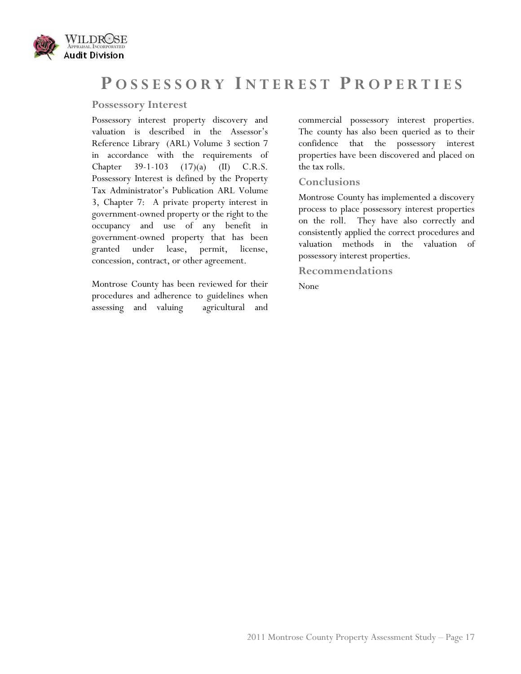

## **P OSSESSORY I NTEREST P ROPERTIES**

## **Possessory Interest**

Possessory interest property discovery and valuation is described in the Assessor's Reference Library (ARL) Volume 3 section 7 in accordance with the requirements of Chapter 39-1-103 (17)(a) (II) C.R.S. Possessory Interest is defined by the Property Tax Administrator's Publication ARL Volume 3, Chapter 7: A private property interest in government-owned property or the right to the occupancy and use of any benefit in government-owned property that has been granted under lease, permit, license, concession, contract, or other agreement.

Montrose County has been reviewed for their procedures and adherence to guidelines when assessing and valuing agricultural and commercial possessory interest properties. The county has also been queried as to their confidence that the possessory interest properties have been discovered and placed on the tax rolls.

## **Conclusions**

Montrose County has implemented a discovery process to place possessory interest properties on the roll. They have also correctly and consistently applied the correct procedures and valuation methods in the valuation of possessory interest properties.

**Recommendations**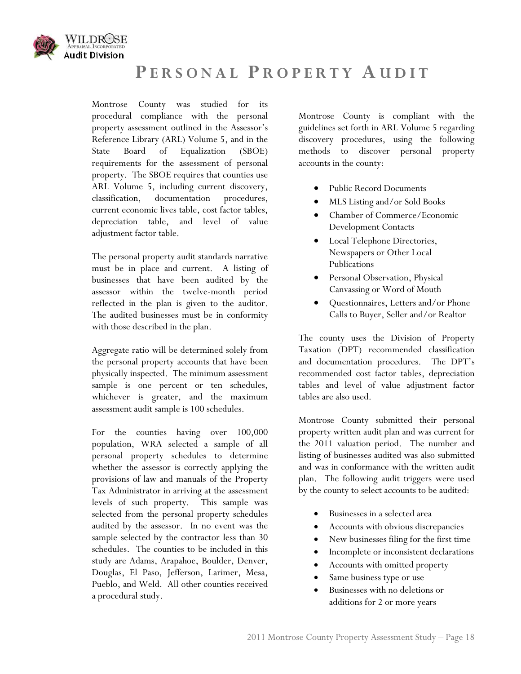

## **P ERSONAL P ROPERTY A UDIT**

Montrose County was studied for its procedural compliance with the personal property assessment outlined in the Assessor's Reference Library (ARL) Volume 5, and in the State Board of Equalization (SBOE) requirements for the assessment of personal property. The SBOE requires that counties use ARL Volume 5, including current discovery, classification, documentation procedures, current economic lives table, cost factor tables, depreciation table, and level of value adjustment factor table.

The personal property audit standards narrative must be in place and current. A listing of businesses that have been audited by the assessor within the twelve-month period reflected in the plan is given to the auditor. The audited businesses must be in conformity with those described in the plan.

Aggregate ratio will be determined solely from the personal property accounts that have been physically inspected. The minimum assessment sample is one percent or ten schedules, whichever is greater, and the maximum assessment audit sample is 100 schedules.

For the counties having over 100,000 population, WRA selected a sample of all personal property schedules to determine whether the assessor is correctly applying the provisions of law and manuals of the Property Tax Administrator in arriving at the assessment levels of such property. This sample was selected from the personal property schedules audited by the assessor. In no event was the sample selected by the contractor less than 30 schedules. The counties to be included in this study are Adams, Arapahoe, Boulder, Denver, Douglas, El Paso, Jefferson, Larimer, Mesa, Pueblo, and Weld. All other counties received a procedural study.

Montrose County is compliant with the guidelines set forth in ARL Volume 5 regarding discovery procedures, using the following methods to discover personal property accounts in the county:

- Public Record Documents
- MLS Listing and/or Sold Books
- Chamber of Commerce/Economic Development Contacts
- Local Telephone Directories, Newspapers or Other Local Publications
- Personal Observation, Physical Canvassing or Word of Mouth
- Questionnaires, Letters and/or Phone Calls to Buyer, Seller and/or Realtor

The county uses the Division of Property Taxation (DPT) recommended classification and documentation procedures. The DPT's recommended cost factor tables, depreciation tables and level of value adjustment factor tables are also used.

Montrose County submitted their personal property written audit plan and was current for the 2011 valuation period. The number and listing of businesses audited was also submitted and was in conformance with the written audit plan. The following audit triggers were used by the county to select accounts to be audited:

- Businesses in a selected area
- Accounts with obvious discrepancies
- New businesses filing for the first time
- Incomplete or inconsistent declarations
- Accounts with omitted property
- Same business type or use
- Businesses with no deletions or additions for 2 or more years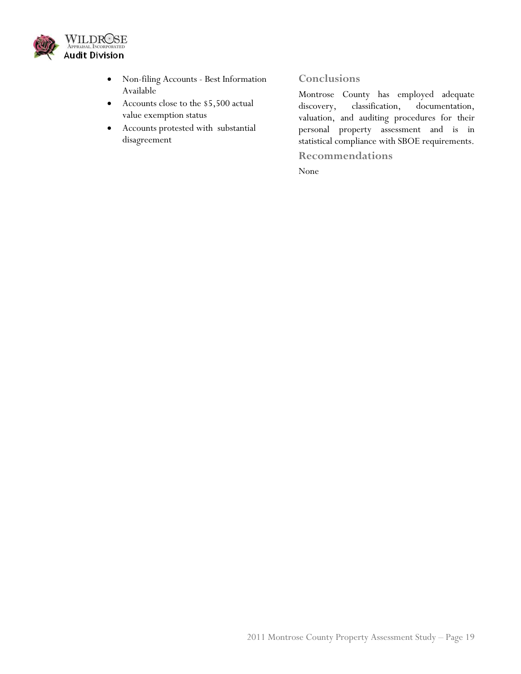

- Non-filing Accounts Best Information Available
- Accounts close to the \$5,500 actual value exemption status
- Accounts protested with substantial disagreement

## **Conclusions**

Montrose County has employed adequate discovery, classification, documentation, valuation, and auditing procedures for their personal property assessment and is in statistical compliance with SBOE requirements.

**Recommendations**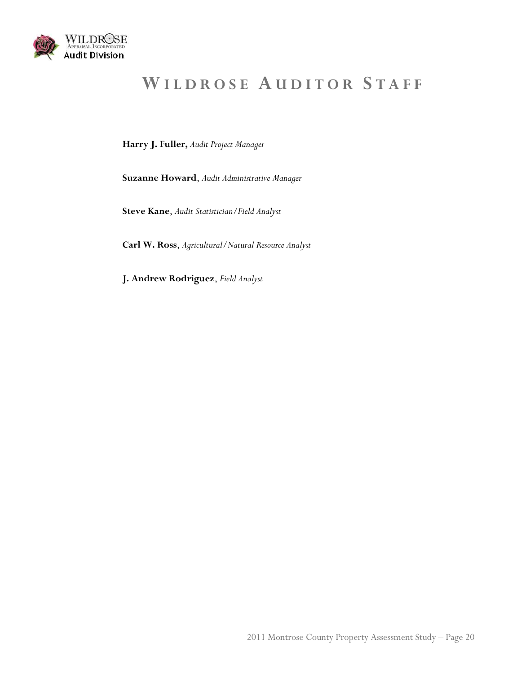

# **W ILDROSE A UDITOR S TAFF**

**Harry J. Fuller,** *Audit Project Manager*

**Suzanne Howard**, *Audit Administrative Manager*

**Steve Kane**, *Audit Statistician/Field Analyst* 

**Carl W. Ross**, *Agricultural/Natural Resource Analyst*

**J. Andrew Rodriguez**, *Field Analyst*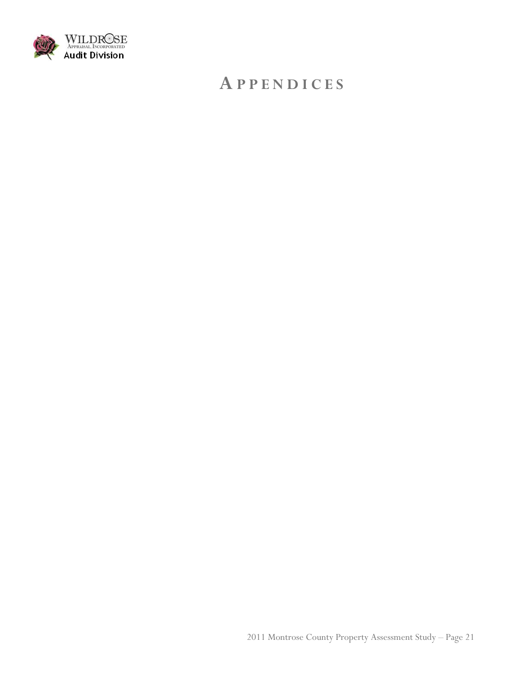

## **A PPENDICES**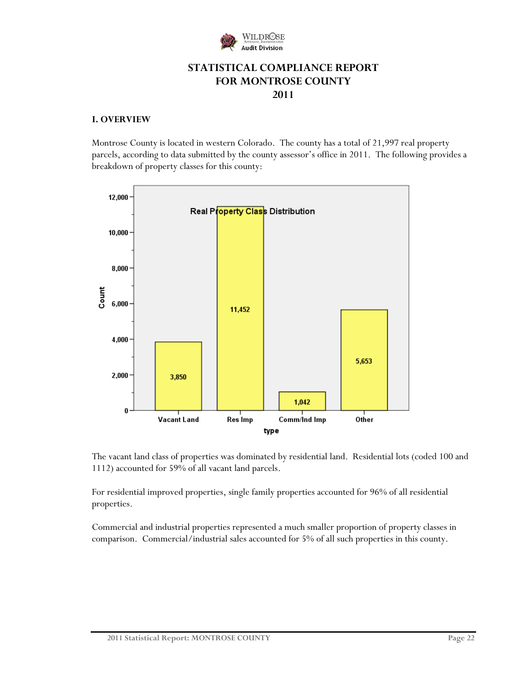

## **STATISTICAL COMPLIANCE REPORT FOR MONTROSE COUNTY 2011**

### **I. OVERVIEW**

Montrose County is located in western Colorado. The county has a total of 21,997 real property parcels, according to data submitted by the county assessor's office in 2011. The following provides a breakdown of property classes for this county:



The vacant land class of properties was dominated by residential land. Residential lots (coded 100 and 1112) accounted for 59% of all vacant land parcels.

For residential improved properties, single family properties accounted for 96% of all residential properties.

Commercial and industrial properties represented a much smaller proportion of property classes in comparison. Commercial/industrial sales accounted for 5% of all such properties in this county.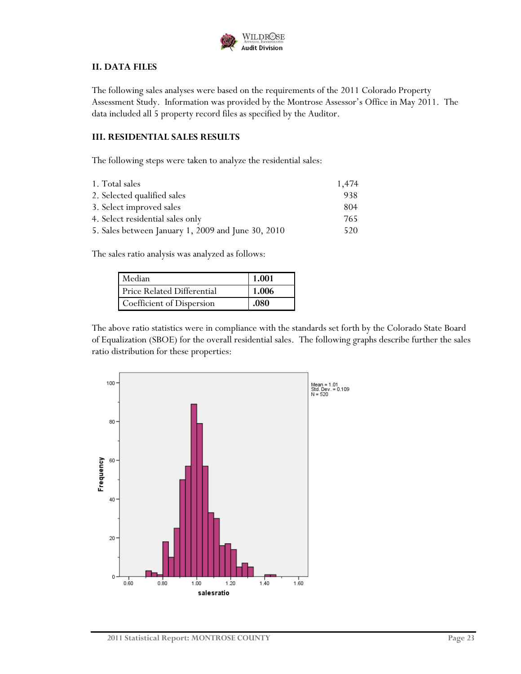

### **II. DATA FILES**

The following sales analyses were based on the requirements of the 2011 Colorado Property Assessment Study. Information was provided by the Montrose Assessor's Office in May 2011. The data included all 5 property record files as specified by the Auditor.

#### **III. RESIDENTIAL SALES RESULTS**

The following steps were taken to analyze the residential sales:

| 1. Total sales                                     | 1,474 |
|----------------------------------------------------|-------|
| 2. Selected qualified sales                        | 938   |
| 3. Select improved sales                           | 804   |
| 4. Select residential sales only                   | 765   |
| 5. Sales between January 1, 2009 and June 30, 2010 | 520   |

The sales ratio analysis was analyzed as follows:

| Median                            | 1.001 |
|-----------------------------------|-------|
| <b>Price Related Differential</b> | 1.006 |
| Coefficient of Dispersion         | .080  |

The above ratio statistics were in compliance with the standards set forth by the Colorado State Board of Equalization (SBOE) for the overall residential sales. The following graphs describe further the sales ratio distribution for these properties:

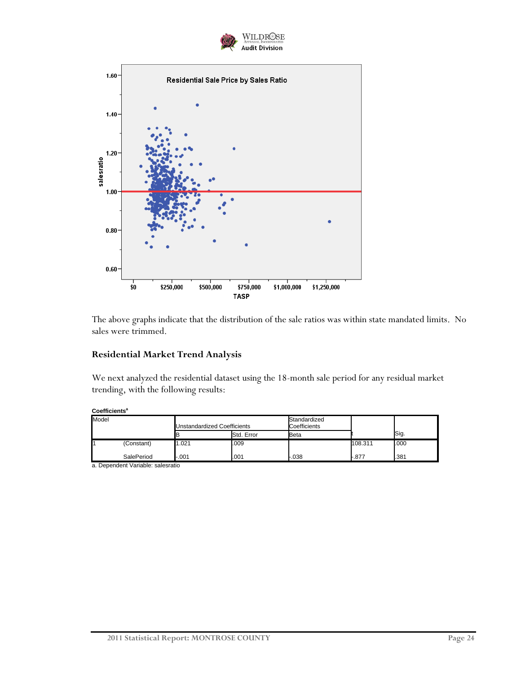



The above graphs indicate that the distribution of the sale ratios was within state mandated limits. No sales were trimmed.

### **Residential Market Trend Analysis**

We next analyzed the residential dataset using the 18-month sale period for any residual market trending, with the following results:

| Coefficients <sup>a</sup> |  |
|---------------------------|--|
|---------------------------|--|

| Model |            | Unstandardized Coefficients |            | Standardized<br>Coefficients |         |      |
|-------|------------|-----------------------------|------------|------------------------------|---------|------|
|       |            | E                           | Std. Error | Beta                         |         | Sig. |
|       | (Constant) | 1.021                       | .009       |                              | 108.311 | .000 |
|       | SalePeriod | $-001$                      | .001       | $-038$                       | r.877   | .381 |

a. Dependent Variable: salesratio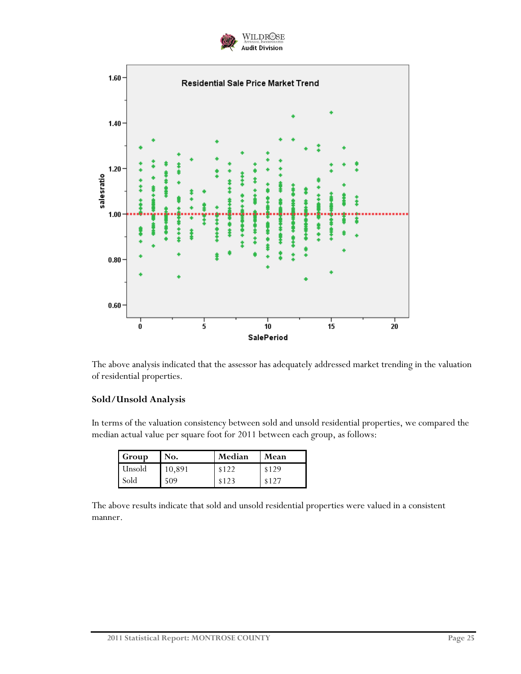



The above analysis indicated that the assessor has adequately addressed market trending in the valuation of residential properties.

#### **Sold/Unsold Analysis**

In terms of the valuation consistency between sold and unsold residential properties, we compared the median actual value per square foot for 2011 between each group, as follows:

| Group  | No.    | Median | Mean  |
|--------|--------|--------|-------|
| Unsold | 10,891 | \$122  | \$129 |
| Sold   | 509    | \$123  | \$127 |

The above results indicate that sold and unsold residential properties were valued in a consistent manner.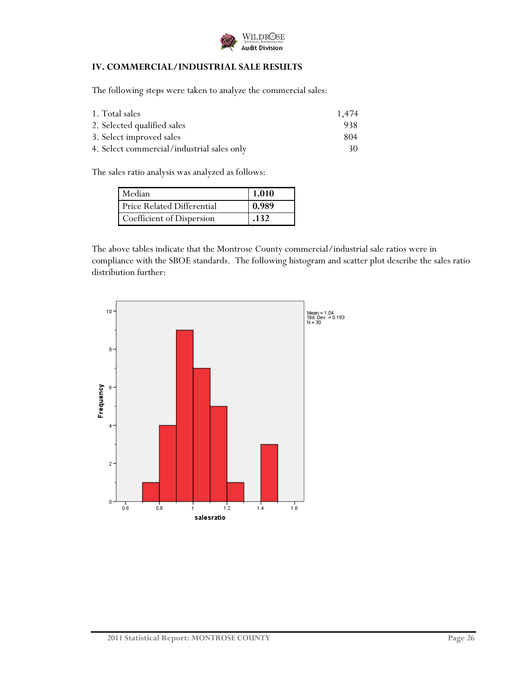

## **IV. COMMERCIAL/INDUSTRIAL SALE RESULTS**

The following steps were taken to analyze the commercial sales:

| 1. Total sales                             | 1.474 |
|--------------------------------------------|-------|
| 2. Selected qualified sales                | 938.  |
| 3. Select improved sales                   | 804   |
| 4. Select commercial/industrial sales only | 30.   |

The sales ratio analysis was analyzed as follows:

| Median                     | 1.010 |
|----------------------------|-------|
| Price Related Differential | 0.989 |
| Coefficient of Dispersion  | .132  |

The above tables indicate that the Montrose County commercial/industrial sale ratios were in compliance with the SBOE standards. The following histogram and scatter plot describe the sales ratio distribution further:

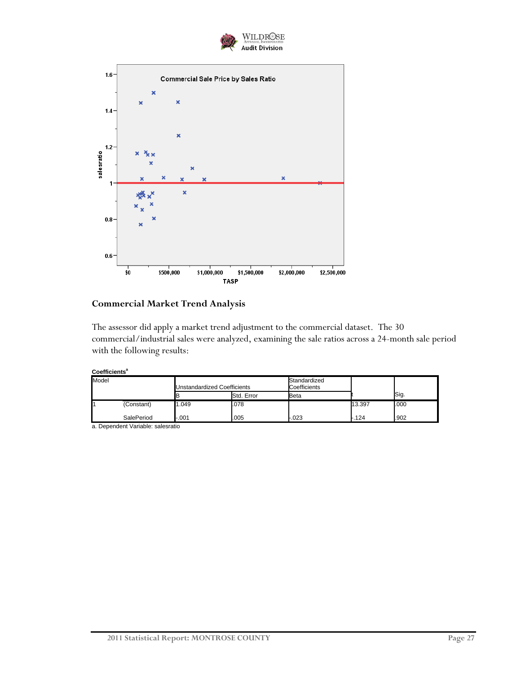



### **Commercial Market Trend Analysis**

The assessor did apply a market trend adjustment to the commercial dataset. The 30 commercial/industrial sales were analyzed, examining the sale ratios across a 24-month sale period with the following results:

| Coefficientsª |
|---------------|
|---------------|

| Model      |  | Unstandardized Coefficients |            | Standardized<br>Coefficients |        |      |  |
|------------|--|-----------------------------|------------|------------------------------|--------|------|--|
|            |  |                             | Std. Error | Beta                         |        | Sig. |  |
| (Constant) |  | .049                        | .078       |                              | 13.397 | .000 |  |
| SalePeriod |  | $-001$                      | .005       | -.023                        | .124   | .902 |  |

a. Dependent Variable: salesratio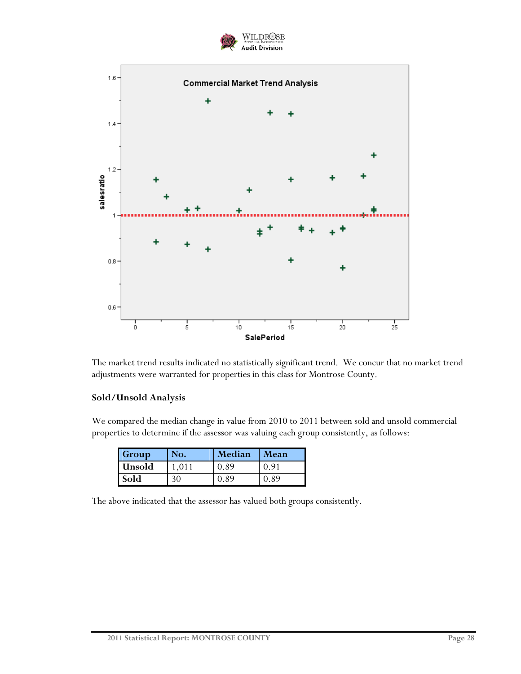



The market trend results indicated no statistically significant trend. We concur that no market trend adjustments were warranted for properties in this class for Montrose County.

## **Sold/Unsold Analysis**

We compared the median change in value from 2010 to 2011 between sold and unsold commercial properties to determine if the assessor was valuing each group consistently, as follows:

| Group  | No. | Median | <b>Mean</b> |
|--------|-----|--------|-------------|
| Unsold |     | 0.89   | 0 d.        |
| Sold   | 30  | O 89   | 0.89        |

The above indicated that the assessor has valued both groups consistently.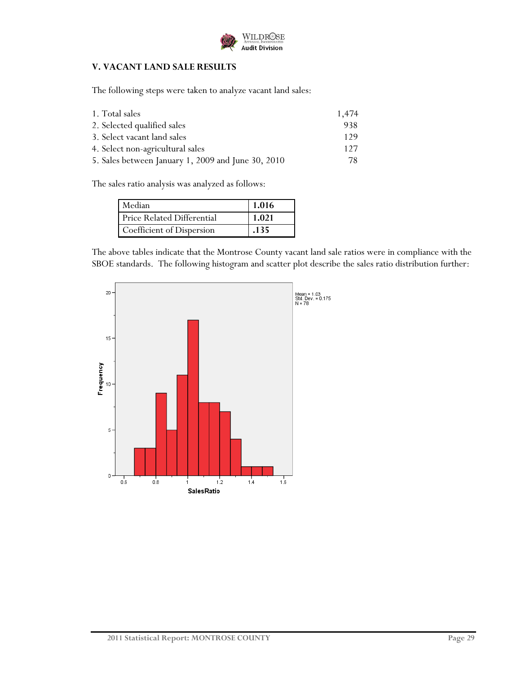

## **V. VACANT LAND SALE RESULTS**

The following steps were taken to analyze vacant land sales:

| 1. Total sales                                     | 1,474 |
|----------------------------------------------------|-------|
| 2. Selected qualified sales                        | 938   |
| 3. Select vacant land sales                        | 129   |
| 4. Select non-agricultural sales                   | 127   |
| 5. Sales between January 1, 2009 and June 30, 2010 | 78.   |

The sales ratio analysis was analyzed as follows:

| Median                            | 1.016 |
|-----------------------------------|-------|
| <b>Price Related Differential</b> | 1.021 |
| Coefficient of Dispersion         | .135  |

The above tables indicate that the Montrose County vacant land sale ratios were in compliance with the SBOE standards. The following histogram and scatter plot describe the sales ratio distribution further:

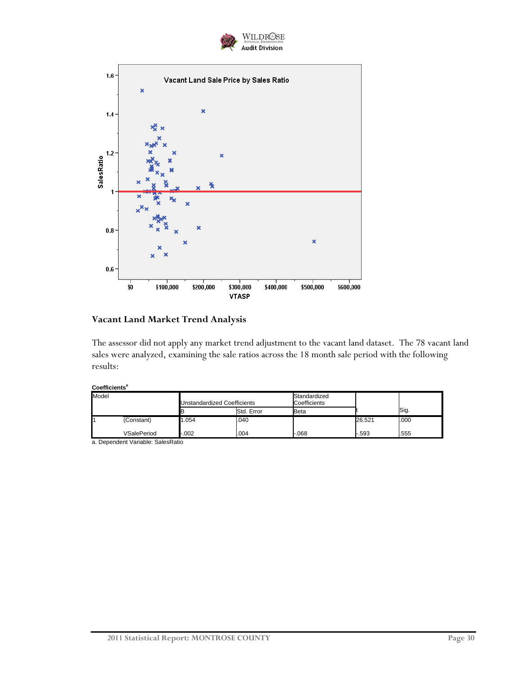



## **Vacant Land Market Trend Analysis**

The assessor did not apply any market trend adjustment to the vacant land dataset. The 78 vacant land sales were analyzed, examining the sale ratios across the 18 month sale period with the following results:

#### Coefficients<sup>a</sup>

| Model |             | Unstandardized Coefficients |            | Standardized<br>Coefficients |        |      |  |
|-------|-------------|-----------------------------|------------|------------------------------|--------|------|--|
|       |             |                             | Std. Error | Beta                         |        | Sig. |  |
|       | (Constant)  | 1.054                       | .040       |                              | 26.521 | .000 |  |
|       | VSalePeriod | -.002                       | .004       | -.068                        | .593   | .555 |  |

a. Dependent Variable: SalesRatio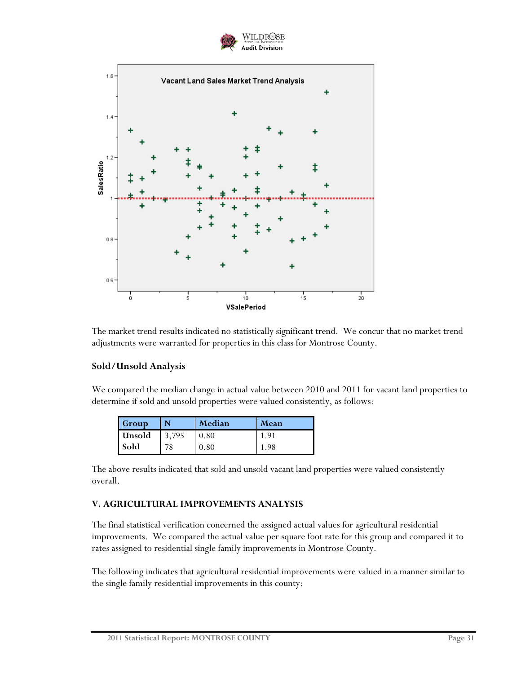



The market trend results indicated no statistically significant trend. We concur that no market trend adjustments were warranted for properties in this class for Montrose County.

#### **Sold/Unsold Analysis**

We compared the median change in actual value between 2010 and 2011 for vacant land properties to determine if sold and unsold properties were valued consistently, as follows:

| <b>Group</b> |       | Median | Mean |
|--------------|-------|--------|------|
| Unsold       | 3,795 | 0.80   | 1.91 |
| <b>Sold</b>  |       | 0.80   | 198  |

The above results indicated that sold and unsold vacant land properties were valued consistently overall.

#### **V. AGRICULTURAL IMPROVEMENTS ANALYSIS**

The final statistical verification concerned the assigned actual values for agricultural residential improvements. We compared the actual value per square foot rate for this group and compared it to rates assigned to residential single family improvements in Montrose County.

The following indicates that agricultural residential improvements were valued in a manner similar to the single family residential improvements in this county: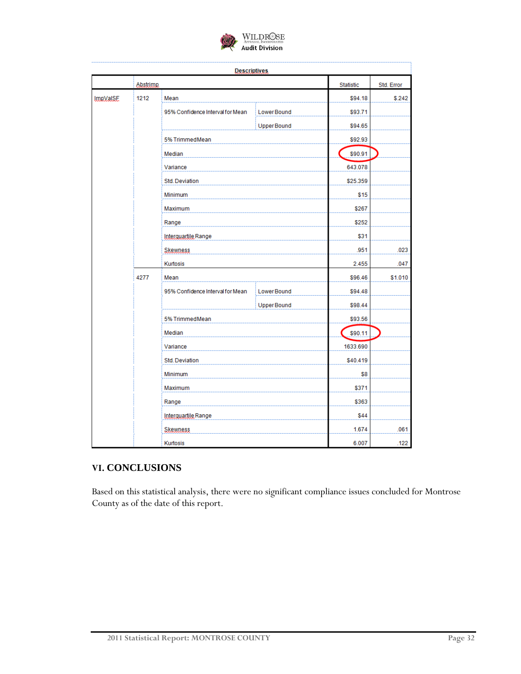

|                 |           | <b>Descriptives</b>              |                   |           |            |
|-----------------|-----------|----------------------------------|-------------------|-----------|------------|
|                 | Abstrimp. |                                  |                   | Statistic | Std. Error |
| <b>ImpVaISE</b> | 1212      | Mean                             |                   | \$94.18   | \$.242     |
|                 |           | 95% Confidence Interval for Mean | Lower Bound       | \$93.71   |            |
|                 |           |                                  | <b>UpperBound</b> | \$94.65   |            |
|                 |           | 5% TrimmedMean                   |                   | \$92.93   |            |
|                 |           | Median                           |                   | \$90.91   |            |
|                 |           | Variance                         |                   | 643.078   |            |
|                 |           | Std. Deviation                   |                   | \$25.359  |            |
|                 |           | Minimum                          |                   | \$15      |            |
|                 |           | Maximum                          |                   | \$267     |            |
|                 |           | Range                            | \$252             |           |            |
|                 |           | Interquartile Range              | \$31              |           |            |
|                 |           | <b>Skewness</b>                  | .951              | .023      |            |
|                 |           | Kurtosis                         | 2.455             | .047      |            |
|                 | 4277      | Mean                             | \$96.46           | \$1.010   |            |
|                 |           | 95% Confidence Interval for Mean | <b>LowerBound</b> | \$94.48   |            |
|                 |           |                                  | <b>UpperBound</b> | \$98.44   |            |
|                 |           | 5% TrimmedMean                   |                   | \$93.56   |            |
|                 |           | Median                           |                   | \$90.11   |            |
|                 |           | Variance                         |                   | 1633.690  |            |
|                 |           | <b>Std. Deviation</b>            |                   | \$40.419  |            |
|                 |           | Minimum                          |                   | \$8       |            |
|                 |           | Maximum                          |                   | \$371     |            |
|                 |           | Range                            |                   | \$363     |            |
|                 |           | Interguartile Range              |                   | \$44      |            |
|                 |           | Skewness                         |                   | 1.674     | .061       |
|                 |           | Kurtosis                         |                   | 6.007     | .122       |

## **VI. CONCLUSIONS**

Based on this statistical analysis, there were no significant compliance issues concluded for Montrose County as of the date of this report.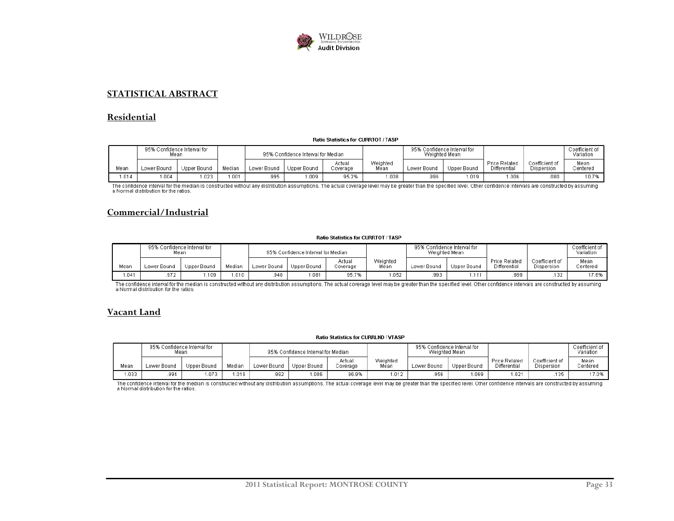

#### **STATISTICAL ABSTRACT**

#### **Residential**

#### Ratio Statistics for CURRTOT / TASP

|      | 95% Confidence Interval for<br>Mean |             |        | 95% Confidence Interval for Median |             |                    | 95% Confidence Interval for<br>Weighted Mean |             |             |                                      | Coefficient of<br>Variation  |                  |
|------|-------------------------------------|-------------|--------|------------------------------------|-------------|--------------------|----------------------------------------------|-------------|-------------|--------------------------------------|------------------------------|------------------|
| Mean | Lower Bound                         | Upper Bound | Median | Lower Bound                        | Upper Bound | Actual<br>Coverage | Weighted<br>Mean                             | Lower Bound | Upper Bound | <b>Price Related</b><br>Differential | Coefficient of<br>Dispersion | Mean<br>Centered |
| .014 | .004                                | .023        | .001   | 995                                | .009        | 95.2%              | .008                                         | 996         | 1.019       | .006                                 | .080                         | 10.7%            |

The confidence interval for the median is constructed without any distribution assumptions. The actual coverage level may be greater than the specified level. Other confidence intervals are constructed by assuming<br>a Normal

#### **Commercial/Industrial**

#### Ratio Statistics for CURRTOT / TASP

|      | 95% Confidence Interval for<br>Mean |             |        |             | 95% Confidence Interval for Median |                    |                  | 95% Confidence Interval for<br>Weighted Mean |             |                                      |                              | Coefficient of<br>Variation |
|------|-------------------------------------|-------------|--------|-------------|------------------------------------|--------------------|------------------|----------------------------------------------|-------------|--------------------------------------|------------------------------|-----------------------------|
| Mean | Lower Bound                         | Upper Bound | Median | Lower Bound | Upper Bound                        | Actual<br>Coverage | Weighted<br>Mean | Lower Bound                                  | Upper Bound | <b>Price Related</b><br>Differential | Coefficient of<br>Dispersion | Mean<br>Centered            |
| .041 | .972                                | .109        | 0.010  | .940        | 081. ا                             | 95.7%              | .052             | .993                                         | 1.111       | .989                                 | .132                         | 17.6%                       |

The confidence interval for the median is constructed without any distribution assumptions. The actual coverage level may be greater than the specified level. Other confidence intervals are constructed by assuming<br>a Normal

#### **Vacant Land**

#### **Ratio Statistics for CURRLND / VTASP**

|       | ن %95<br>Mean | Confidence Interval for . |        | 95% Confidence Interval for Median |             | 95% Confidence Interval for<br>Weighted Mean |                  |             |             |                                      | Coefficient of<br>Variation  |                  |
|-------|---------------|---------------------------|--------|------------------------------------|-------------|----------------------------------------------|------------------|-------------|-------------|--------------------------------------|------------------------------|------------------|
| Mean  | Lower Bound   | Upper Bound               | Median | Lower Bound                        | Upper Bound | Actual<br>Coverage                           | Weighted<br>Mean | Lower Bound | Upper Bound | <b>Price Related</b><br>Differential | Coefficient of<br>Dispersion | Mean<br>Centered |
| 1.033 | .994          | .073                      | .016   | .992                               | .086        | 96.9%                                        | 1.012            | .956        | .069        | .021                                 | 135                          | 17.0%            |

The confidence interval for the median is constructed without any distribution assumptions. The actual coverage level may be greater than the specified level. Other confidence intervals are constructed by assuming<br>a Normal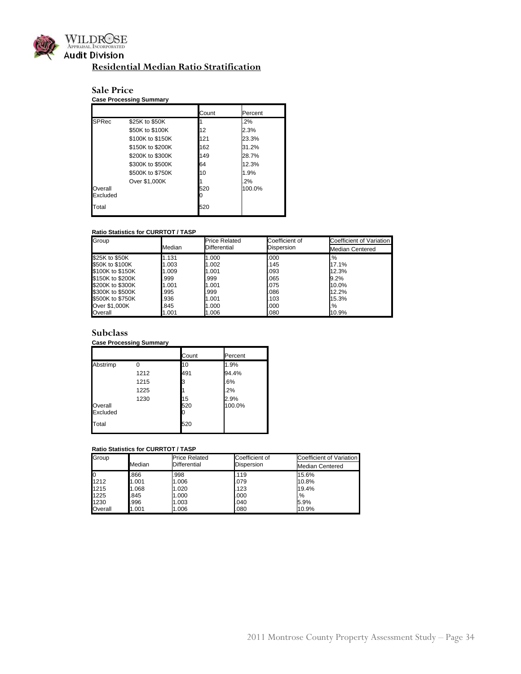

## **Residential Median Ratio Stratification**

## **Sale Price**

|                     | <b>Case Processing Summary</b> |       |              |
|---------------------|--------------------------------|-------|--------------|
|                     |                                | Count | Percent      |
| <b>SPRec</b>        | \$25K to \$50K                 |       | .2%          |
|                     | \$50K to \$100K                | 12    | 2.3%         |
|                     | \$100K to \$150K               | 121   | 23.3%        |
|                     | \$150K to \$200K               | 162   | 31.2%        |
|                     | \$200K to \$300K               | 149   | 28.7%        |
|                     | \$300K to \$500K               | 64    | 12.3%        |
|                     | \$500K to \$750K               | 10    | 1.9%         |
| Overall<br>Excluded | Over \$1,000K                  | 520   | 2%<br>100.0% |
| Total               |                                | 520   |              |

#### **Ratio Statistics for CURRTOT / TASP**

| Group            |        | <b>Price Related</b> | Coefficient of | Coefficient of Variation |
|------------------|--------|----------------------|----------------|--------------------------|
|                  | Median | Differential         | Dispersion     | <b>Median Centered</b>   |
| \$25K to \$50K   | 1.131  | 1.000                | .000           | %                        |
| \$50K to \$100K  | 1.003  | 1.002                | .145           | 17.1%                    |
| \$100K to \$150K | 1.009  | 1.001                | .093           | 12.3%                    |
| \$150K to \$200K | .999   | .999                 | .065           | 9.2%                     |
| \$200K to \$300K | 1.001  | 1.001                | .075           | 10.0%                    |
| \$300K to \$500K | .995   | .999                 | .086           | 12.2%                    |
| \$500K to \$750K | .936   | 1.001                | .103           | 15.3%                    |
| Over \$1,000K    | .845   | 1.000                | .000           | .%                       |
| Overall          | 1.001  | 1.006                | .080           | 10.9%                    |

#### **Subclass**

#### **Case Processing Summary**

|                     |      | Count | Percent |
|---------------------|------|-------|---------|
| Abstrimp            | ი    | 10    | 1.9%    |
|                     | 1212 | 491   | 94.4%   |
|                     | 1215 | з     | .6%     |
|                     | 1225 |       | .2%     |
|                     | 1230 | 15    | 2.9%    |
| Overall<br>Excluded |      | 520   | 100.0%  |
| Total               |      | 520   |         |

| Group   |        | <b>Price Related</b> | Coefficient of | Coefficient of Variation |
|---------|--------|----------------------|----------------|--------------------------|
|         | Median | <b>Differential</b>  | Dispersion     | <b>Median Centered</b>   |
|         | .866   | .998                 | .119           | 15.6%                    |
| 1212    | 1.001  | 1.006                | .079           | 10.8%                    |
| 1215    | 1.068  | 1.020                | .123           | 19.4%                    |
| 1225    | .845   | 1.000                | .000           | .%                       |
| 1230    | .996   | 1.003                | .040           | 5.9%                     |
| Overall | 1.001  | 1.006                | .080           | 10.9%                    |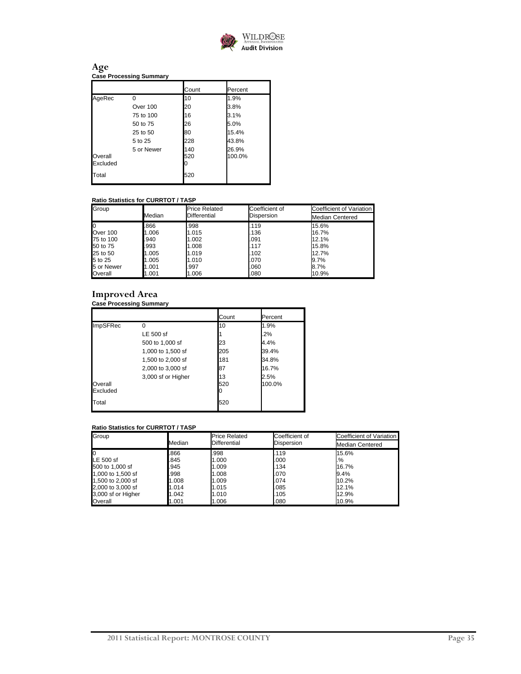

#### **Age Case Processing Summary**

|                     |            | Count      | Percent         |
|---------------------|------------|------------|-----------------|
| AgeRec              | O          | 10         | 1.9%            |
|                     | Over 100   | 20         | 3.8%            |
|                     | 75 to 100  | 16         | 3.1%            |
|                     | 50 to 75   | 26         | 5.0%            |
|                     | 25 to 50   | 80         | 15.4%           |
|                     | 5 to 25    | 228        | 43.8%           |
| Overall<br>Excluded | 5 or Newer | 140<br>520 | 26.9%<br>100.0% |
| Total               |            | 520        |                 |

#### **Ratio Statistics for CURRTOT / TASP**

| Group       |        | <b>Price Related</b> | Coefficient of | Coefficient of Variation |
|-------------|--------|----------------------|----------------|--------------------------|
|             | Median | Differential         | Dispersion     | <b>Median Centered</b>   |
| $\mathbf 0$ | .866   | .998                 | .119           | 15.6%                    |
| Over 100    | 1.006  | 1.015                | .136           | 16.7%                    |
| 75 to 100   | .940   | 1.002                | .091           | 12.1%                    |
| 50 to 75    | .993   | 1.008                | .117           | 15.8%                    |
| 25 to 50    | 1.005  | 1.019                | .102           | 12.7%                    |
| 5 to 25     | 1.005  | 1.010                | .070           | 9.7%                     |
| 5 or Newer  | 1.001  | .997                 | .060           | 8.7%                     |
| Overall     | 1.001  | 1.006                | .080           | 10.9%                    |

## **Improved Area**

#### **Case Processing Summary**

|                     |                    | Count | Percent |
|---------------------|--------------------|-------|---------|
| ImpSFRec            | O                  | 10    | 1.9%    |
|                     | LE 500 sf          |       | 2%      |
|                     | 500 to 1,000 sf    | 23    | 4.4%    |
|                     | 1,000 to 1,500 sf  | 205   | 39.4%   |
|                     | 1,500 to 2,000 sf  | 181   | 34.8%   |
|                     | 2,000 to 3,000 sf  | 87    | 16.7%   |
|                     | 3,000 sf or Higher | 13    | 2.5%    |
| Overall<br>Excluded |                    | 520   | 100.0%  |
| Total               |                    | 520   |         |

| Group              |        | <b>Price Related</b> | Coefficient of | Coefficient of Variation |
|--------------------|--------|----------------------|----------------|--------------------------|
|                    | Median | Differential         | Dispersion     | <b>Median Centered</b>   |
| <b>lo</b>          | .866   | .998                 | .119           | 15.6%                    |
| LE 500 sf          | .845   | 1.000                | .000           | .%                       |
| 500 to 1.000 sf    | .945   | 1.009                | .134           | 16.7%                    |
| 1,000 to 1,500 sf  | .998   | 1.008                | .070           | 9.4%                     |
| 1,500 to 2,000 sf  | 1.008  | 1.009                | .074           | 10.2%                    |
| 2,000 to 3,000 sf  | 1.014  | 1.015                | .085           | 12.1%                    |
| 3,000 sf or Higher | 1.042  | 1.010                | .105           | 12.9%                    |
| Overall            | 1.001  | 1.006                | .080           | 10.9%                    |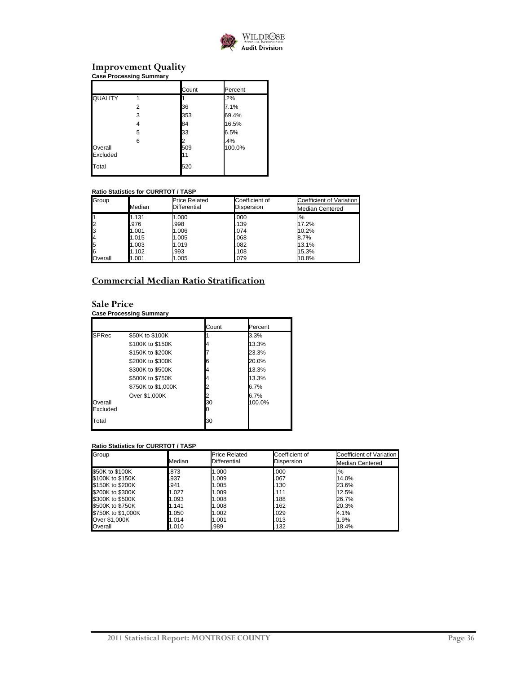

## **Improvement Quality**

| <b>Case Processing Summary</b> |   |                |               |
|--------------------------------|---|----------------|---------------|
|                                |   | Count          | Percent       |
| QUALITY                        | 1 |                | .2%           |
|                                | 2 | 36             | 7.1%          |
|                                | 3 | 353            | 69.4%         |
|                                | 4 | 84             | 16.5%         |
|                                | 5 | 33             | 6.5%          |
| Overall<br>Excluded            | 6 | 2<br>509<br>11 | .4%<br>100.0% |
| Total                          |   | 520            |               |

#### **Ratio Statistics for CURRTOT / TASP**

| Group   |        | <b>Price Related</b> | Coefficient of | Coefficient of Variation |
|---------|--------|----------------------|----------------|--------------------------|
|         | Median | Differential         | Dispersion     | <b>Median Centered</b>   |
|         | 1.131  | 1.000                | .000           | .%                       |
|         | .976   | .998                 | .139           | 17.2%                    |
|         | 1.001  | 1.006                | .074           | 10.2%                    |
|         | 1.015  | 1.005                | .068           | 8.7%                     |
|         | 1.003  | 1.019                | .082           | 13.1%                    |
|         | 1.102  | .993                 | .108           | 15.3%                    |
| Overall | 1.001  | 1.005                | .079           | 10.8%                    |

## **Commercial Median Ratio Stratification**

## **Sale Price**

#### **Case Processing Summary**

|                     |                    | Count | Percent |
|---------------------|--------------------|-------|---------|
| <b>SPRec</b>        | \$50K to \$100K    |       | 3.3%    |
|                     | \$100K to \$150K   |       | 13.3%   |
|                     | \$150K to \$200K   |       | 23.3%   |
|                     | \$200K to \$300K   |       | 20.0%   |
|                     | \$300K to \$500K   |       | 13.3%   |
|                     | \$500K to \$750K   |       | 13.3%   |
|                     | \$750K to \$1,000K |       | $6.7\%$ |
|                     | Over \$1,000K      |       | 6.7%    |
| Overall<br>Excluded |                    | 30    | 100.0%  |
| Total               |                    | 30    |         |

| Group              |        | <b>Price Related</b> | Coefficient of | Coefficient of Variation |  |
|--------------------|--------|----------------------|----------------|--------------------------|--|
|                    | Median | Differential         | Dispersion     | <b>Median Centered</b>   |  |
| \$50K to \$100K    | .873   | 1.000                | .000           | .%                       |  |
| \$100K to \$150K   | .937   | 1.009                | .067           | 14.0%                    |  |
| \$150K to \$200K   | .941   | 1.005                | .130           | 23.6%                    |  |
| \$200K to \$300K   | 1.027  | 1.009                | .111           | 12.5%                    |  |
| \$300K to \$500K   | 1.093  | 1.008                | .188           | 26.7%                    |  |
| \$500K to \$750K   | 1.141  | 1.008                | .162           | 20.3%                    |  |
| \$750K to \$1,000K | 1.050  | 1.002                | .029           | 4.1%                     |  |
| Over \$1.000K      | 1.014  | 1.001                | .013           | 1.9%                     |  |
| Overall            | 1.010  | .989                 | .132           | 18.4%                    |  |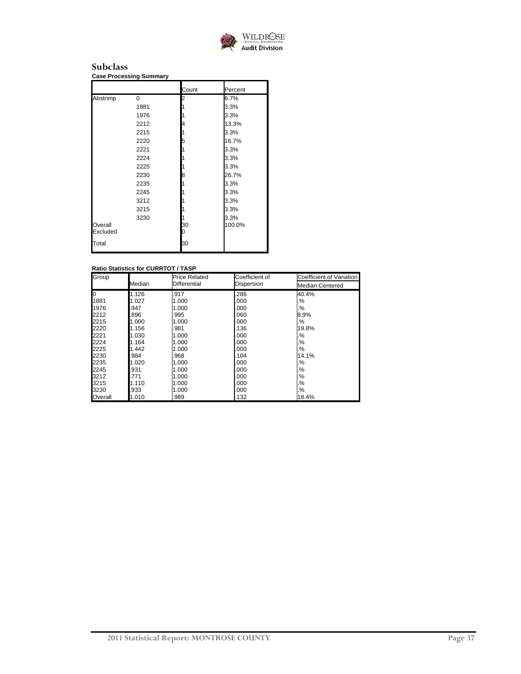

#### **Subclass Case Processing Summary**

|          |          | Count | Percent |
|----------|----------|-------|---------|
|          | $\Omega$ |       |         |
| Abstrimp |          | 2     | 6.7%    |
|          | 1881     |       | 3.3%    |
|          | 1976     |       | 3.3%    |
|          | 2212     | 4     | 13.3%   |
|          | 2215     |       | 3.3%    |
|          | 2220     | 5     | 16.7%   |
|          | 2221     |       | 3.3%    |
|          | 2224     |       | 3.3%    |
|          | 2225     |       | 3.3%    |
|          | 2230     | 8     | 26.7%   |
|          | 2235     |       | 3.3%    |
|          | 2245     |       | 3.3%    |
|          | 3212     |       | 3.3%    |
|          | 3215     |       | 3.3%    |
|          | 3230     |       | 3.3%    |
| Overall  |          | 30    | 100.0%  |
| Excluded |          | 0     |         |
| Total    |          | 30    |         |

| Group   |        | Price Related | Coefficient of | Coefficient of Variation |
|---------|--------|---------------|----------------|--------------------------|
|         | Median | Differential  | Dispersion     | <b>Median Centered</b>   |
| IО      | 1.126  | .917          | .286           | 40.4%                    |
| 1881    | 1.027  | 1.000         | .000           | .%                       |
| 1976    | 947    | 1.000         | .000           | %.                       |
| 2212    | 896    | .995          | .060           | 8.9%                     |
| 2215    | 1.000  | 1.000         | 000            | $\%$                     |
| 2220    | 1.156  | .981          | 136            | 19.8%                    |
| 2221    | 1.030  | 1.000         | 000            | .%                       |
| 2224    | 1.164  | 1.000         | 000            | .%                       |
| 2225    | 1.442  | 1.000         | .000           | %.                       |
| 2230    | 984    | .968          | 104            | 14.1%                    |
| 2235    | 1.020  | 1.000         | .000           | .%                       |
| 2245    | 931    | 1.000         | .000           | .%                       |
| 3212    | 771    | 1.000         | .000           | .%                       |
| 3215    | 1.110  | 1.000         | .000           | %.                       |
| 3230    | .933   | 1.000         | .000           | %.                       |
| Overall | 1.010  | .989          | 132            | 18.4%                    |